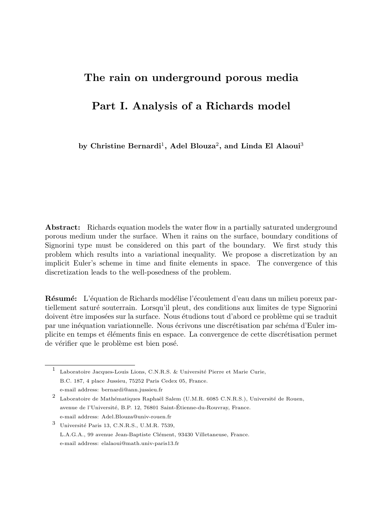# The rain on underground porous media

# Part I. Analysis of a Richards model

by Christine Bernardi<sup>1</sup>, Adel Blouza<sup>2</sup>, and Linda El Alaoui<sup>3</sup>

**Abstract:** Richards equation models the water flow in a partially saturated underground porous medium under the surface. When it rains on the surface, boundary conditions of Signorini type must be considered on this part of the boundary. We first study this problem which results into a variational inequality. We propose a discretization by an implicit Euler's scheme in time and finite elements in space. The convergence of this discretization leads to the well-posedness of the problem.

**Résumé:** L'équation de Richards modélise l'écoulement d'eau dans un milieu poreux partiellement saturé souterrain. Lorsqu'il pleut, des conditions aux limites de type Signorini doivent être imposées sur la surface. Nous étudions tout d'abord ce problème qui se traduit par une inéquation variationnelle. Nous écrivons une discrétisation par schéma d'Euler implicite en temps et éléments finis en espace. La convergence de cette discrétisation permet de vérifier que le problème est bien posé.

<sup>1</sup> Laboratoire Jacques-Louis Lions, C.N.R.S. & Université Pierre et Marie Curie, B.C. 187, 4 place Jussieu, 75252 Paris Cedex 05, France. e-mail address: bernardi@ann.jussieu.fr

 $3$  Université Paris 13, C.N.R.S., U.M.R. 7539, L.A.G.A., 99 avenue Jean-Baptiste Clément, 93430 Villetaneuse, France. e-mail address: elalaoui@math.univ-paris13.fr

<sup>&</sup>lt;sup>2</sup> Laboratoire de Mathématiques Raphaël Salem (U.M.R. 6085 C.N.R.S.), Université de Rouen, avenue de l'Université, B.P. 12, 76801 Saint-Étienne-du-Rouvray, France. e-mail address: Adel.Blouza@univ-rouen.fr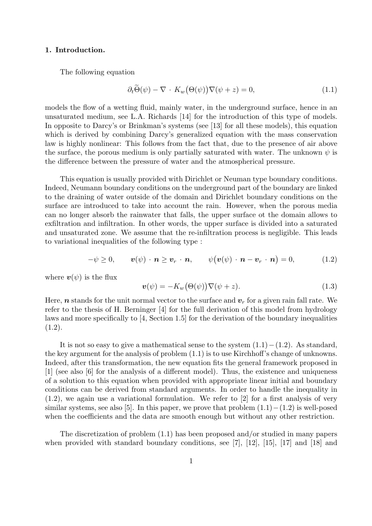## 1. Introduction.

The following equation

$$
\partial_t \tilde{\Theta}(\psi) - \nabla \cdot K_w(\Theta(\psi)) \nabla(\psi + z) = 0, \tag{1.1}
$$

models the flow of a wetting fluid, mainly water, in the underground surface, hence in an unsaturated medium, see L.A. Richards [14] for the introduction of this type of models. In opposite to Darcy's or Brinkman's systems (see [13] for all these models), this equation which is derived by combining Darcy's generalized equation with the mass conservation law is highly nonlinear: This follows from the fact that, due to the presence of air above the surface, the porous medium is only partially saturated with water. The unknown  $\psi$  is the difference between the pressure of water and the atmospherical pressure.

This equation is usually provided with Dirichlet or Neuman type boundary conditions. Indeed, Neumann boundary conditions on the underground part of the boundary are linked to the draining of water outside of the domain and Dirichlet boundary conditions on the surface are introduced to take into account the rain. However, when the porous media can no longer absorb the rainwater that falls, the upper surface ot the domain allows to exfiltration and infiltration. In other words, the upper surface is divided into a saturated and unsaturated zone. We assume that the re-infiltration process is negligible. This leads to variational inequalities of the following type :

$$
-\psi \geq 0, \qquad \mathbf{v}(\psi) \cdot \mathbf{n} \geq \mathbf{v}_r \cdot \mathbf{n}, \qquad \psi(\mathbf{v}(\psi) \cdot \mathbf{n} - \mathbf{v}_r \cdot \mathbf{n}) = 0, \tag{1.2}
$$

where  $v(\psi)$  is the flux

$$
\mathbf{v}(\psi) = -K_w(\Theta(\psi))\nabla(\psi + z). \tag{1.3}
$$

Here, **n** stands for the unit normal vector to the surface and  $v_r$  for a given rain fall rate. We refer to the thesis of H. Berninger [4] for the full derivation of this model from hydrology laws and more specifically to [4, Section 1.5] for the derivation of the boundary inequalities  $(1.2).$ 

It is not so easy to give a mathematical sense to the system  $(1.1)-(1.2)$ . As standard, the key argument for the analysis of problem (1.1) is to use Kirchhoff's change of unknowns. Indeed, after this transformation, the new equation fits the general framework proposed in [1] (see also [6] for the analysis of a different model). Thus, the existence and uniqueness of a solution to this equation when provided with appropriate linear initial and boundary conditions can be derived from standard arguments. In order to handle the inequality in (1.2), we again use a variational formulation. We refer to [2] for a first analysis of very similar systems, see also [5]. In this paper, we prove that problem  $(1.1) - (1.2)$  is well-posed when the coefficients and the data are smooth enough but without any other restriction.

The discretization of problem (1.1) has been proposed and/or studied in many papers when provided with standard boundary conditions, see [7], [12], [15], [17] and [18] and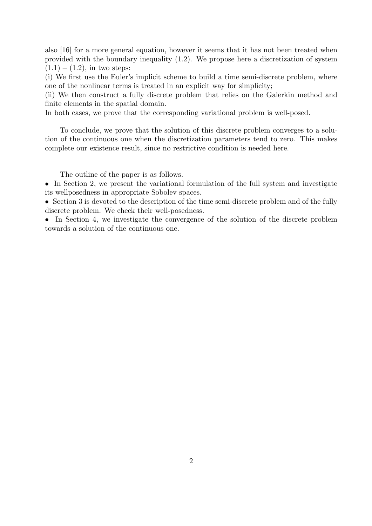also [16] for a more general equation, however it seems that it has not been treated when provided with the boundary inequality (1.2). We propose here a discretization of system  $(1.1) - (1.2)$ , in two steps:

(i) We first use the Euler's implicit scheme to build a time semi-discrete problem, where one of the nonlinear terms is treated in an explicit way for simplicity;

(ii) We then construct a fully discrete problem that relies on the Galerkin method and finite elements in the spatial domain.

In both cases, we prove that the corresponding variational problem is well-posed.

To conclude, we prove that the solution of this discrete problem converges to a solution of the continuous one when the discretization parameters tend to zero. This makes complete our existence result, since no restrictive condition is needed here.

The outline of the paper is as follows.

• In Section 2, we present the variational formulation of the full system and investigate its wellposedness in appropriate Sobolev spaces.

• Section 3 is devoted to the description of the time semi-discrete problem and of the fully discrete problem. We check their well-posedness.

• In Section 4, we investigate the convergence of the solution of the discrete problem towards a solution of the continuous one.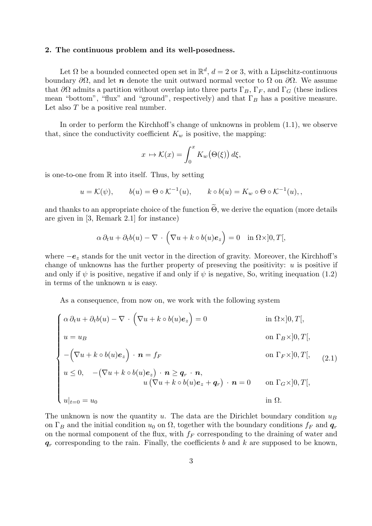#### 2. The continuous problem and its well-posedness.

Let  $\Omega$  be a bounded connected open set in  $\mathbb{R}^d$ ,  $d=2$  or 3, with a Lipschitz-continuous boundary  $\partial\Omega$ , and let n denote the unit outward normal vector to  $\Omega$  on  $\partial\Omega$ . We assume that  $\partial\Omega$  admits a partition without overlap into three parts  $\Gamma_B$ ,  $\Gamma_F$ , and  $\Gamma_G$  (these indices mean "bottom", "flux" and "ground", respectively) and that  $\Gamma_B$  has a positive measure. Let also  $T$  be a positive real number.

In order to perform the Kirchhoff's change of unknowns in problem (1.1), we observe that, since the conductivity coefficient  $K_w$  is positive, the mapping:

$$
x \mapsto \mathcal{K}(x) = \int_0^x K_w(\Theta(\xi)) d\xi,
$$

is one-to-one from  $\mathbb R$  into itself. Thus, by setting

$$
u = \mathcal{K}(\psi),
$$
  $b(u) = \Theta \circ \mathcal{K}^{-1}(u),$   $k \circ b(u) = K_w \circ \Theta \circ \mathcal{K}^{-1}(u),$ 

and thanks to an appropriate choice of the function  $\widetilde{\Theta}$ , we derive the equation (more details are given in [3, Remark 2.1] for instance)

$$
\alpha \, \partial_t u + \partial_t b(u) - \nabla \cdot \left( \nabla u + k \circ b(u) \mathbf{e}_z \right) = 0 \quad \text{in } \Omega \times ]0, T[,
$$

where  $-e_z$  stands for the unit vector in the direction of gravity. Moreover, the Kirchhoff's change of unknowns has the further property of preseving the positivity:  $u$  is positive if and only if  $\psi$  is positive, negative if and only if  $\psi$  is negative, So, writing inequation (1.2) in terms of the unknown  $u$  is easy.

As a consequence, from now on, we work with the following system

$$
\begin{cases}\n\alpha \partial_t u + \partial_t b(u) - \nabla \cdot \left( \nabla u + k \circ b(u) e_z \right) = 0 & \text{in } \Omega \times ]0, T[, \\
u = u_B & \text{on } \Gamma_B \times ]0, T[, \\
-(\nabla u + k \circ b(u) e_z) \cdot \mathbf{n} = f_F & \text{on } \Gamma_F \times ]0, T[, \\
u \leq 0, \quad -(\nabla u + k \circ b(u) e_z) \cdot \mathbf{n} \geq \mathbf{q}_r \cdot \mathbf{n}, \\
u (\nabla u + k \circ b(u) e_z + \mathbf{q}_r) \cdot \mathbf{n} = 0 & \text{on } \Gamma_G \times ]0, T[, \\
u|_{t=0} = u_0 & \text{in } \Omega.\n\end{cases} (2.1)
$$

The unknown is now the quantity u. The data are the Dirichlet boundary condition  $u_B$ on  $\Gamma_B$  and the initial condition  $u_0$  on  $\Omega$ , together with the boundary conditions  $f_F$  and  $\mathbf{q}_r$ on the normal component of the flux, with  $f_F$  corresponding to the draining of water and  $q_r$  corresponding to the rain. Finally, the coefficients b and k are supposed to be known,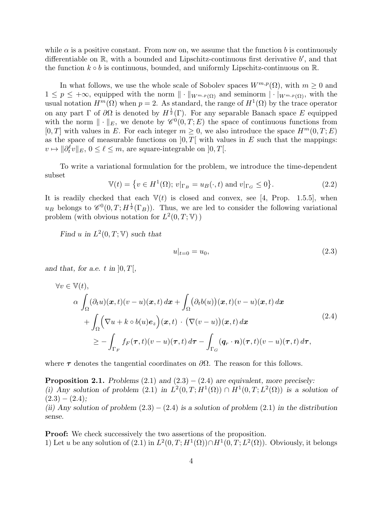while  $\alpha$  is a positive constant. From now on, we assume that the function b is continuously differentiable on  $\mathbb{R}$ , with a bounded and Lipschitz-continuous first derivative  $b'$ , and that the function  $k \circ b$  is continuous, bounded, and uniformly Lipschitz-continuous on  $\mathbb{R}$ .

In what follows, we use the whole scale of Sobolev spaces  $W^{m,p}(\Omega)$ , with  $m \geq 0$  and  $1 \leq p \leq +\infty$ , equipped with the norm  $\|\cdot\|_{W^{m,p}(\Omega)}$  and seminorm  $|\cdot|_{W^{m,p}(\Omega)}$ , with the usual notation  $H^m(\Omega)$  when  $p=2$ . As standard, the range of  $H^1(\Omega)$  by the trace operator on any part  $\Gamma$  of  $\partial\Omega$  is denoted by  $H^{\frac{1}{2}}(\Gamma)$ . For any separable Banach space E equipped with the norm  $\|\cdot\|_E$ , we denote by  $\mathscr{C}^0(0,T;E)$  the space of continuous functions from [0, T] with values in E. For each integer  $m \geq 0$ , we also introduce the space  $H^m(0,T;E)$ as the space of measurable functions on  $[0, T]$  with values in E such that the mappings:  $v \mapsto \|\partial_t^\ell v\|_E, 0 \le \ell \le m$ , are square-integrable on  $]0, T[$ .

To write a variational formulation for the problem, we introduce the time-dependent subset

$$
\mathbb{V}(t) = \{ v \in H^1(\Omega); \, v|_{\Gamma_B} = u_B(\cdot, t) \text{ and } v|_{\Gamma_G} \le 0 \}. \tag{2.2}
$$

It is readily checked that each  $V(t)$  is closed and convex, see [4, Prop. 1.5.5], when u<sub>B</sub> belongs to  $\mathscr{C}^0(0,T;H^{\frac{1}{2}}(\Gamma_B))$ . Thus, we are led to consider the following variational problem (with obvious notation for  $L^2(0,T;\mathbb{V})$ )

Find u in  $L^2(0,T;\mathbb{V})$  such that

$$
u|_{t=0} = u_0,\t\t(2.3)
$$

and that, for a.e. t in  $[0, T]$ ,

$$
\forall v \in \mathbb{V}(t),
$$
  
\n
$$
\alpha \int_{\Omega} (\partial_t u)(\boldsymbol{x}, t)(v - u)(\boldsymbol{x}, t) d\boldsymbol{x} + \int_{\Omega} (\partial_t b(u))(\boldsymbol{x}, t)(v - u)(\boldsymbol{x}, t) d\boldsymbol{x} \n+ \int_{\Omega} (\nabla u + k \circ b(u) \boldsymbol{e}_z)(\boldsymbol{x}, t) \cdot (\nabla (v - u))(\boldsymbol{x}, t) d\boldsymbol{x} \n\geq - \int_{\Gamma_F} f_F(\boldsymbol{\tau}, t)(v - u)(\boldsymbol{\tau}, t) d\boldsymbol{\tau} - \int_{\Gamma_G} (\boldsymbol{q}_r \cdot \boldsymbol{n})(\boldsymbol{\tau}, t)(v - u)(\boldsymbol{\tau}, t) d\boldsymbol{\tau},
$$
\n(2.4)

where  $\tau$  denotes the tangential coordinates on  $\partial\Omega$ . The reason for this follows.

**Proposition 2.1.** Problems  $(2.1)$  and  $(2.3) - (2.4)$  are equivalent, more precisely: (i) Any solution of problem (2.1) in  $L^2(0,T;H^1(\Omega)) \cap H^1(0,T;L^2(\Omega))$  is a solution of  $(2.3) - (2.4);$ 

(ii) Any solution of problem  $(2.3) - (2.4)$  is a solution of problem  $(2.1)$  in the distribution sense.

**Proof:** We check successively the two assertions of the proposition. 1) Let u be any solution of  $(2.1)$  in  $L^2(0,T;H^1(\Omega)) \cap H^1(0,T;L^2(\Omega))$ . Obviously, it belongs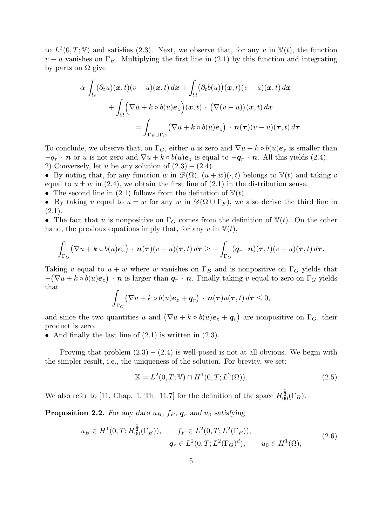to  $L^2(0,T;\mathbb{V})$  and satisfies (2.3). Next, we observe that, for any v in  $\mathbb{V}(t)$ , the function  $v - u$  vanishes on  $\Gamma_B$ . Multiplying the first line in (2.1) by this function and integrating by parts on  $\Omega$  give

$$
\alpha \int_{\Omega} (\partial_t u)(\boldsymbol{x}, t)(v - u)(\boldsymbol{x}, t) d\boldsymbol{x} + \int_{\Omega} (\partial_t b(u))(\boldsymbol{x}, t)(v - u)(\boldsymbol{x}, t) d\boldsymbol{x} \n+ \int_{\Omega} (\nabla u + k \circ b(u) \boldsymbol{e}_z)(\boldsymbol{x}, t) \cdot (\nabla (v - u))(\boldsymbol{x}, t) d\boldsymbol{x} \n= \int_{\Gamma_F \cup \Gamma_G} (\nabla u + k \circ b(u) \boldsymbol{e}_z) \cdot \boldsymbol{n}(\boldsymbol{\tau})(v - u)(\boldsymbol{\tau}, t) d\boldsymbol{\tau}.
$$

To conclude, we observe that, on  $\Gamma_G$ , either u is zero and  $\nabla u + k \circ b(u)\mathbf{e}_z$  is smaller than  $-q_{\tau} \cdot \mathbf{n}$  or u is not zero and  $\nabla u + k \circ b(u)\mathbf{e}_z$  is equal to  $-\mathbf{q}_r \cdot \mathbf{n}$ . All this yields (2.4). 2) Conversely, let u be any solution of  $(2.3) - (2.4)$ .

• By noting that, for any function w in  $\mathscr{D}(\Omega)$ ,  $(u + w)(\cdot, t)$  belongs to  $\mathbb{V}(t)$  and taking v equal to  $u \pm w$  in (2.4), we obtain the first line of (2.1) in the distribution sense.

• The second line in (2.1) follows from the definition of  $\mathbb{V}(t)$ .

• By taking v equal to  $u \pm w$  for any w in  $\mathscr{D}(\Omega \cup \Gamma_F)$ , we also derive the third line in  $(2.1).$ 

• The fact that u is nonpositive on  $\Gamma_G$  comes from the definition of  $\mathbb{V}(t)$ . On the other hand, the previous equations imply that, for any v in  $V(t)$ ,

$$
\int_{\Gamma_G} (\nabla u + k \circ b(u)\mathbf{e}_z) \cdot \mathbf{n}(\tau)(v-u)(\tau,t) d\tau \geq -\int_{\Gamma_G} (\mathbf{q}_r \cdot \mathbf{n})(\tau,t)(v-u)(\tau,t) d\tau.
$$

Taking v equal to  $u + w$  where w vanishes on  $\Gamma_B$  and is nonpositive on  $\Gamma_G$  yields that  $-(\nabla u + k \circ b(u)\mathbf{e}_z) \cdot \mathbf{n}$  is larger than  $\mathbf{q}_r \cdot \mathbf{n}$ . Finally taking v equal to zero on  $\Gamma_G$  yields that

$$
\int_{\Gamma_G} (\nabla u + k \circ b(u)\mathbf{e}_z + \mathbf{q}_r) \cdot \mathbf{n}(\tau)u(\tau, t) d\tau \leq 0,
$$

and since the two quantities u and  $(\nabla u + k \circ b(u)\mathbf{e}_z + \mathbf{q}_r)$  are nonpositive on  $\Gamma_G$ , their product is zero.

• And finally the last line of  $(2.1)$  is written in  $(2.3)$ .

Proving that problem  $(2.3) - (2.4)$  is well-posed is not at all obvious. We begin with the simpler result, i.e., the uniqueness of the solution. For brevity, we set:

$$
\mathbb{X} = L^{2}(0, T; \mathbb{V}) \cap H^{1}(0, T; L^{2}(\Omega)).
$$
\n(2.5)

We also refer to [11, Chap. 1, Th. 11.7] for the definition of the space  $H_{00}^{\frac{1}{2}}(\Gamma_B)$ .

**Proposition 2.2.** For any data  $u_B$ ,  $f_F$ ,  $g_r$  and  $u_0$  satisfying

$$
u_B \in H^1(0, T; H_{00}^{\frac{1}{2}}(\Gamma_B)), \qquad f_F \in L^2(0, T; L^2(\Gamma_F)),
$$
  

$$
q_r \in L^2(0, T; L^2(\Gamma_G)^d), \qquad u_0 \in H^1(\Omega),
$$
 (2.6)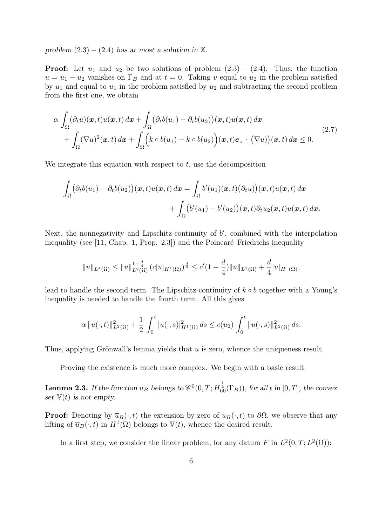problem  $(2.3) - (2.4)$  has at most a solution in X.

**Proof:** Let  $u_1$  and  $u_2$  be two solutions of problem  $(2.3) - (2.4)$ . Thus, the function  $u = u_1 - u_2$  vanishes on  $\Gamma_B$  and at  $t = 0$ . Taking v equal to  $u_2$  in the problem satisfied by  $u_1$  and equal to  $u_1$  in the problem satisfied by  $u_2$  and subtracting the second problem from the first one, we obtain

$$
\alpha \int_{\Omega} (\partial_t u)(\boldsymbol{x}, t) u(\boldsymbol{x}, t) d\boldsymbol{x} + \int_{\Omega} (\partial_t b(u_1) - \partial_t b(u_2))(\boldsymbol{x}, t) u(\boldsymbol{x}, t) d\boldsymbol{x} + \int_{\Omega} (\nabla u)^2(\boldsymbol{x}, t) d\boldsymbol{x} + \int_{\Omega} \Big( k \circ b(u_1) - k \circ b(u_2) \Big) (\boldsymbol{x}, t) e_z \cdot (\nabla u) (\boldsymbol{x}, t) d\boldsymbol{x} \le 0.
$$
\n(2.7)

We integrate this equation with respect to  $t$ , use the decomposition

$$
\int_{\Omega} \left( \partial_t b(u_1) - \partial_t b(u_2) \right) (\boldsymbol{x}, t) u(\boldsymbol{x}, t) d\boldsymbol{x} = \int_{\Omega} b'(u_1) (\boldsymbol{x}, t) (\partial_t u) (\boldsymbol{x}, t) u(\boldsymbol{x}, t) d\boldsymbol{x} \n+ \int_{\Omega} \left( b'(u_1) - b'(u_2) \right) (\boldsymbol{x}, t) \partial_t u_2 (\boldsymbol{x}, t) u(\boldsymbol{x}, t) d\boldsymbol{x}.
$$

Next, the nonnegativity and Lipschitz-continuity of  $b'$ , combined with the interpolation inequality (see  $[11,$  Chap. 1, Prop. 2.3) and the Poincaré–Friedrichs inequality

$$
||u||_{L^{4}(\Omega)} \leq ||u||_{L^{2}(\Omega)}^{1-\frac{d}{4}} (c||u|_{H^{1}(\Omega)})^{\frac{d}{4}} \leq c'(1-\frac{d}{4})||u||_{L^{2}(\Omega)} + \frac{d}{4}|u|_{H^{1}(\Omega)},
$$

lead to handle the second term. The Lipschitz-continuity of  $k \circ b$  together with a Young's inequality is needed to handle the fourth term. All this gives

$$
\alpha \|u(\cdot,t)\|_{L^2(\Omega)}^2 + \frac{1}{2} \int_0^t |u(\cdot,s)|^2_{H^1(\Omega)} ds \le c(u_2) \int_0^t \|u(\cdot,s)\|_{L^2(\Omega)}^2 ds.
$$

Thus, applying Grönwall's lemma yields that  $u$  is zero, whence the uniqueness result.

Proving the existence is much more complex. We begin with a basic result.

**Lemma 2.3.** If the function  $u_B$  belongs to  $\mathscr{C}^0(0,T;H^{\frac{1}{2}}_{00}(\Gamma_B))$ , for all t in  $[0,T]$ , the convex set  $\mathbb{V}(t)$  is not empty.

**Proof:** Denoting by  $\overline{u}_B(\cdot, t)$  the extension by zero of  $u_B(\cdot, t)$  to  $\partial\Omega$ , we observe that any lifting of  $\overline{u}_B(\cdot, t)$  in  $H^1(\Omega)$  belongs to  $\mathbb{V}(t)$ , whence the desired result.

In a first step, we consider the linear problem, for any datum F in  $L^2(0,T;L^2(\Omega))$ :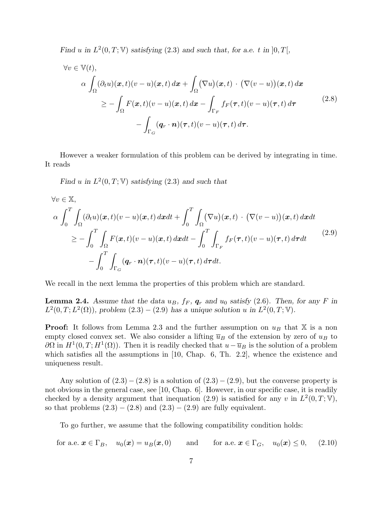Find u in  $L^2(0,T;\mathbb{V})$  satisfying (2.3) and such that, for a.e. t in  $]0,T[$ ,

$$
\forall v \in \mathbb{V}(t),
$$
  
\n
$$
\alpha \int_{\Omega} (\partial_t u)(\mathbf{x}, t)(v - u)(\mathbf{x}, t) d\mathbf{x} + \int_{\Omega} (\nabla u)(\mathbf{x}, t) \cdot (\nabla (v - u))(\mathbf{x}, t) d\mathbf{x}
$$
  
\n
$$
\geq - \int_{\Omega} F(\mathbf{x}, t)(v - u)(\mathbf{x}, t) d\mathbf{x} - \int_{\Gamma_F} f_F(\tau, t)(v - u)(\tau, t) d\tau
$$
\n
$$
- \int_{\Gamma_G} (\mathbf{q}_r \cdot \mathbf{n})(\tau, t)(v - u)(\tau, t) d\tau.
$$
\n(2.8)

However a weaker formulation of this problem can be derived by integrating in time. It reads

Find u in  $L^2(0,T;\mathbb{V})$  satisfying (2.3) and such that

$$
\forall v \in \mathbb{X},
$$
  
\n
$$
\alpha \int_0^T \int_{\Omega} (\partial_t u)(\mathbf{x}, t)(v - u)(\mathbf{x}, t) d\mathbf{x} dt + \int_0^T \int_{\Omega} (\nabla u)(\mathbf{x}, t) \cdot (\nabla (v - u))(\mathbf{x}, t) d\mathbf{x} dt
$$
  
\n
$$
\geq - \int_0^T \int_{\Omega} F(\mathbf{x}, t)(v - u)(\mathbf{x}, t) d\mathbf{x} dt - \int_0^T \int_{\Gamma_F} f_F(\tau, t)(v - u)(\tau, t) d\tau dt
$$
\n
$$
- \int_0^T \int_{\Gamma_G} (\mathbf{q}_r \cdot \mathbf{n})(\tau, t)(v - u)(\tau, t) d\tau dt.
$$
\n(2.9)

We recall in the next lemma the properties of this problem which are standard.

**Lemma 2.4.** Assume that the data  $u_B$ ,  $f_F$ ,  $g_r$  and  $u_0$  satisfy (2.6). Then, for any F in  $L^2(0,T;L^2(\Omega))$ , problem  $(2.3) - (2.9)$  has a unique solution u in  $L^2(0,T;\mathbb{V})$ .

**Proof:** It follows from Lemma 2.3 and the further assumption on  $u_B$  that X is a non empty closed convex set. We also consider a lifting  $\bar{u}_B$  of the extension by zero of  $u_B$  to  $\partial\Omega$  in  $H^1(0,T;H^1(\Omega))$ . Then it is readily checked that  $u-\overline{u}_B$  is the solution of a problem which satisfies all the assumptions in [10, Chap. 6, Th. 2.2], whence the existence and uniqueness result.

Any solution of  $(2.3) - (2.8)$  is a solution of  $(2.3) - (2.9)$ , but the converse property is not obvious in the general case, see [10, Chap. 6]. However, in our specific case, it is readily checked by a density argument that inequation (2.9) is satisfied for any v in  $L^2(0,T;\mathbb{V})$ , so that problems  $(2.3) - (2.8)$  and  $(2.3) - (2.9)$  are fully equivalent.

To go further, we assume that the following compatibility condition holds:

for a.e.  $\mathbf{x} \in \Gamma_B$ ,  $u_0(\mathbf{x}) = u_B(\mathbf{x}, 0)$  and for a.e.  $\mathbf{x} \in \Gamma_G$ ,  $u_0(\mathbf{x}) \leq 0$ , (2.10)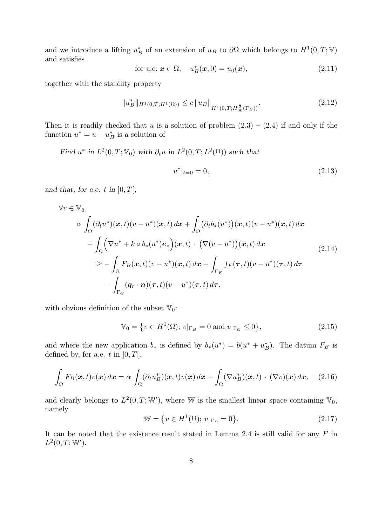and we introduce a lifting  $u_B^*$  of an extension of  $u_B$  to  $\partial\Omega$  which belongs to  $H^1(0,T;\mathbb{V})$ and satisfies

$$
\text{for a.e. } \mathbf{x} \in \Omega, \quad u_B^*(\mathbf{x}, 0) = u_0(\mathbf{x}), \tag{2.11}
$$

together with the stability property

$$
||u_B^*||_{H^1(0,T;H^1(\Omega))} \le c ||u_B||_{H^1(0,T;H^{\frac{1}{2}}_{00}(\Gamma_B))}.
$$
\n(2.12)

Then it is readily checked that u is a solution of problem  $(2.3) - (2.4)$  if and only if the function  $u^* = u - u^*_{B}$  is a solution of

Find  $u^*$  in  $L^2(0,T;\mathbb{V}_0)$  with  $\partial_t u$  in  $L^2(0,T;L^2(\Omega))$  such that

$$
u^*|_{t=0} = 0,\t\t(2.13)
$$

and that, for a.e. t in  $[0, T]$ ,

$$
\forall v \in \mathbb{V}_{0},
$$
\n
$$
\alpha \int_{\Omega} (\partial_{t} u^{*})(\mathbf{x}, t)(v - u^{*})(\mathbf{x}, t) d\mathbf{x} + \int_{\Omega} (\partial_{t} b_{*}(u^{*}))( \mathbf{x}, t)(v - u^{*})(\mathbf{x}, t) d\mathbf{x} \n+ \int_{\Omega} (\nabla u^{*} + k \circ b_{*}(u^{*}) e_{z})(\mathbf{x}, t) \cdot (\nabla (v - u^{*}))( \mathbf{x}, t) d\mathbf{x} \n\geq - \int_{\Omega} F_{B}(\mathbf{x}, t)(v - u^{*})(\mathbf{x}, t) d\mathbf{x} - \int_{\Gamma_{F}} f_{F}(\tau, t)(v - u^{*})(\tau, t) d\tau \n- \int_{\Gamma_{G}} (q_{r} \cdot \mathbf{n})(\tau, t)(v - u^{*})(\tau, t) d\tau,
$$
\n(2.14)

with obvious definition of the subset  $\mathbb{V}_0$ :

$$
\mathbb{V}_0 = \{ v \in H^1(\Omega); \, v|_{\Gamma_B} = 0 \text{ and } v|_{\Gamma_G} \le 0 \},\tag{2.15}
$$

and where the new application  $b_*$  is defined by  $b_*(u^*) = b(u^* + u_B^*)$ . The datum  $F_B$  is defined by, for a.e. t in  $]0, T[$ ,

$$
\int_{\Omega} F_B(\boldsymbol{x},t) v(\boldsymbol{x}) d\boldsymbol{x} = \alpha \int_{\Omega} (\partial_t u_B^*)(\boldsymbol{x},t) v(\boldsymbol{x}) d\boldsymbol{x} + \int_{\Omega} (\nabla u_B^*)(\boldsymbol{x},t) \cdot (\nabla v)(\boldsymbol{x}) d\boldsymbol{x}, \quad (2.16)
$$

and clearly belongs to  $L^2(0,T;\mathbb{W}')$ , where W is the smallest linear space containing  $\mathbb{V}_0$ , namely

$$
\mathbb{W} = \{ v \in H^1(\Omega); \, v|_{\Gamma_B} = 0 \}. \tag{2.17}
$$

It can be noted that the existence result stated in Lemma 2.4 is still valid for any  $F$  in  $L^2(0,T; \mathbb{W}')$ .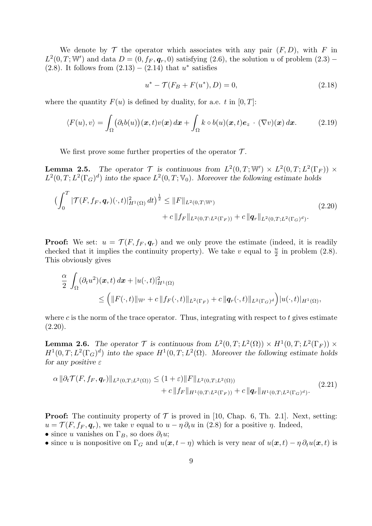We denote by  $\mathcal T$  the operator which associates with any pair  $(F, D)$ , with F in  $L^2(0,T;\mathbb{W}')$  and data  $D=(0,f_F,\boldsymbol{q}_r,0)$  satisfying  $(2.6)$ , the solution u of problem  $(2.3)$  – (2.8). It follows from  $(2.13) - (2.14)$  that  $u^*$  satisfies

$$
u^* - \mathcal{T}(F_B + F(u^*), D) = 0,\t(2.18)
$$

where the quantity  $F(u)$  is defined by duality, for a.e. t in [0, T]:

$$
\langle F(u), v \rangle = \int_{\Omega} \big( \partial_t b(u) \big) (x, t) v(x) \, dx + \int_{\Omega} k \circ b(u) (x, t) e_z \cdot (\nabla v) (x) \, dx. \tag{2.19}
$$

We first prove some further properties of the operator  $\mathcal{T}$ .

**Lemma 2.5.** The operator  $\mathcal{T}$  is continuous from  $L^2(0,T;\mathbb{W}') \times L^2(0,T;L^2(\Gamma_F)) \times$  $L^2(0,T;L^2(\Gamma_G)^d)$  into the space  $L^2(0,T;\mathbb{V}_0)$ . Moreover the following estimate holds

$$
\left(\int_0^T |\mathcal{T}(F, f_F, \mathbf{q}_r)(\cdot, t)|^2_{H^1(\Omega)} dt\right)^{\frac{1}{2}} \le ||F||_{L^2(0,T; \mathbb{W}')} + c||f_F||_{L^2(0,T; L^2(\Gamma_F))} + c||\mathbf{q}_r||_{L^2(0,T; L^2(\Gamma_G)^d)}.
$$
\n(2.20)

**Proof:** We set:  $u = \mathcal{T}(F, f_F, q_r)$  and we only prove the estimate (indeed, it is readily checked that it implies the continuity property). We take v equal to  $\frac{u}{2}$  in problem (2.8). This obviously gives

$$
\frac{\alpha}{2} \int_{\Omega} (\partial_t u^2)(\boldsymbol{x},t) d\boldsymbol{x} + |u(\cdot,t)|^2_{H^1(\Omega)}\n\n\leq \left( \|F(\cdot,t)\|_{\mathbb{W}'} + c \|f_F(\cdot,t)\|_{L^2(\Gamma_F)} + c \|q_r(\cdot,t)\|_{L^2(\Gamma_G)^d} \right) |u(\cdot,t)|_{H^1(\Omega)},
$$

where c is the norm of the trace operator. Thus, integrating with respect to t gives estimate  $(2.20).$ 

**Lemma 2.6.** The operator  $\mathcal T$  is continuous from  $L^2(0,T;L^2(\Omega)) \times H^1(0,T;L^2(\Gamma_F)) \times$  $H^1(0,T;L^2(\Gamma_G)^d)$  into the space  $H^1(0,T;L^2(\Omega))$ . Moreover the following estimate holds for any positive  $\varepsilon$ 

$$
\alpha \|\partial_t \mathcal{T}(F, f_F, \mathbf{q}_r)\|_{L^2(0,T;L^2(\Omega))} \le (1+\varepsilon) \|F\|_{L^2(0,T;L^2(\Omega))} + c \|f_F\|_{H^1(0,T;L^2(\Gamma_F))} + c \| \mathbf{q}_r\|_{H^1(0,T;L^2(\Gamma_G)^d)}.
$$
\n(2.21)

**Proof:** The continuity property of  $\mathcal{T}$  is proved in [10, Chap. 6, Th. 2.1]. Next, setting:  $u = \mathcal{T}(F, f_F, \mathbf{q}_r)$ , we take v equal to  $u - \eta \partial_t u$  in (2.8) for a positive  $\eta$ . Indeed, • since u vanishes on  $\Gamma_B$ , so does  $\partial_t u$ ;

• since u is nonpositive on  $\Gamma_G$  and  $u(x, t - \eta)$  which is very near of  $u(x, t) - \eta \partial_t u(x, t)$  is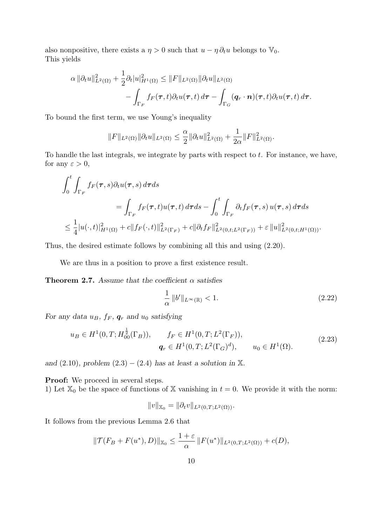also nonpositive, there exists a  $\eta > 0$  such that  $u - \eta \partial_t u$  belongs to  $\mathbb{V}_0$ . This yields

$$
\alpha \|\partial_t u\|_{L^2(\Omega)}^2 + \frac{1}{2}\partial_t |u|_{H^1(\Omega)}^2 \leq \|F\|_{L^2(\Omega)} \|\partial_t u\|_{L^2(\Omega)} - \int_{\Gamma_F} f_F(\tau, t)\partial_t u(\tau, t) d\tau - \int_{\Gamma_G} (q_r \cdot \mathbf{n})(\tau, t)\partial_t u(\tau, t) d\tau.
$$

To bound the first term, we use Young's inequality

$$
||F||_{L^{2}(\Omega)}||\partial_{t}u||_{L^{2}(\Omega)} \leq \frac{\alpha}{2}||\partial_{t}u||_{L^{2}(\Omega)}^{2} + \frac{1}{2\alpha}||F||_{L^{2}(\Omega)}^{2}.
$$

To handle the last integrals, we integrate by parts with respect to  $t$ . For instance, we have, for any  $\varepsilon > 0$ ,

$$
\int_0^t \int_{\Gamma_F} f_F(\tau, s) \partial_t u(\tau, s) d\tau ds
$$
\n
$$
= \int_{\Gamma_F} f_F(\tau, t) u(\tau, t) d\tau ds - \int_0^t \int_{\Gamma_F} \partial_t f_F(\tau, s) u(\tau, s) d\tau ds
$$
\n
$$
\leq \frac{1}{4} |u(\cdot, t)|_{H^1(\Omega)}^2 + c \|f_F(\cdot, t)\|_{L^2(\Gamma_F)}^2 + c \| \partial_t f_F \|_{L^2(0, t; L^2(\Gamma_F))}^2 + \varepsilon \|u\|_{L^2(0, t; H^1(\Omega))}^2.
$$

Thus, the desired estimate follows by combining all this and using (2.20).

We are thus in a position to prove a first existence result.

**Theorem 2.7.** Assume that the coefficient  $\alpha$  satisfies

$$
\frac{1}{\alpha} \left\| b' \right\|_{L^{\infty}(\mathbb{R})} < 1. \tag{2.22}
$$

For any data  $u_B$ ,  $f_F$ ,  $\boldsymbol{q}_r$  and  $u_0$  satisfying

$$
u_B \in H^1(0, T; H_{00}^{\frac{1}{2}}(\Gamma_B)), \qquad f_F \in H^1(0, T; L^2(\Gamma_F)),
$$
  

$$
q_r \in H^1(0, T; L^2(\Gamma_G)^d), \qquad u_0 \in H^1(\Omega).
$$
 (2.23)

and  $(2.10)$ , problem  $(2.3) - (2.4)$  has at least a solution in X.

**Proof:** We proceed in several steps.

1) Let  $\mathbb{X}_0$  be the space of functions of X vanishing in  $t = 0$ . We provide it with the norm:

$$
||v||_{X_0} = ||\partial_t v||_{L^2(0,T;L^2(\Omega))}.
$$

It follows from the previous Lemma 2.6 that

$$
\|\mathcal{T}(F_B + F(u^*), D)\|_{\mathbb{X}_0} \le \frac{1+\varepsilon}{\alpha} \|F(u^*)\|_{L^2(0,T;L^2(\Omega))} + c(D),
$$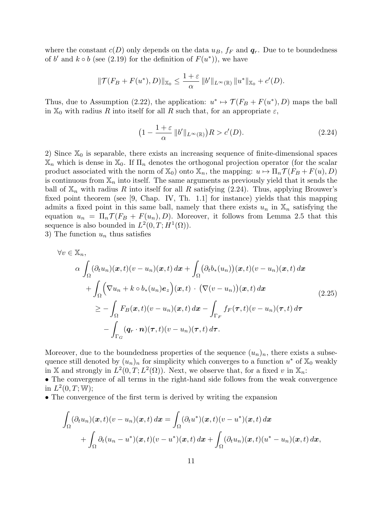where the constant  $c(D)$  only depends on the data  $u_B$ ,  $f_F$  and  $q_r$ . Due to te boundedness of b' and  $k \circ b$  (see (2.19) for the definition of  $F(u^*)$ ), we have

$$
\|\mathcal{T}(F_B + F(u^*), D)\|_{\mathbb{X}_0} \le \frac{1+\varepsilon}{\alpha} \|b'\|_{L^{\infty}(\mathbb{R})} \|u^*\|_{\mathbb{X}_0} + c'(D).
$$

Thus, due to Assumption (2.22), the application:  $u^* \mapsto \mathcal{T}(F_B + F(u^*), D)$  maps the ball in  $\mathbb{X}_0$  with radius R into itself for all R such that, for an appropriate  $\varepsilon$ ,

$$
\left(1 - \frac{1+\varepsilon}{\alpha} \left\|b'\right\|_{L^{\infty}(\mathbb{R})}\right)R > c'(D). \tag{2.24}
$$

2) Since  $\mathbb{X}_0$  is separable, there exists an increasing sequence of finite-dimensional spaces  $\mathbb{X}_n$  which is dense in  $\mathbb{X}_0$ . If  $\Pi_n$  denotes the orthogonal projection operator (for the scalar product associated with the norm of  $\mathbb{X}_0$ ) onto  $\mathbb{X}_n$ , the mapping:  $u \mapsto \Pi_n \mathcal{T}(F_B + F(u), D)$ is continuous from  $\mathbb{X}_n$  into itself. The same arguments as previously yield that it sends the ball of  $\mathbb{X}_n$  with radius R into itself for all R satisfying (2.24). Thus, applying Brouwer's fixed point theorem (see [9, Chap. IV, Th. 1.1] for instance) yields that this mapping admits a fixed point in this same ball, namely that there exists  $u_n$  in  $\mathbb{X}_n$  satisfying the equation  $u_n = \Pi_n \mathcal{T}(F_B + F(u_n), D)$ . Moreover, it follows from Lemma 2.5 that this sequence is also bounded in  $L^2(0,T;H^1(\Omega))$ .

3) The function  $u_n$  thus satisfies

$$
\forall v \in \mathbb{X}_n,
$$
  
\n
$$
\alpha \int_{\Omega} (\partial_t u_n)(\boldsymbol{x}, t)(v - u_n)(\boldsymbol{x}, t) d\boldsymbol{x} + \int_{\Omega} (\partial_t b_*(u_n))(\boldsymbol{x}, t)(v - u_n)(\boldsymbol{x}, t) d\boldsymbol{x} \n+ \int_{\Omega} (\nabla u_n + k \circ b_*(u_n) e_z)(\boldsymbol{x}, t) \cdot (\nabla (v - u_n))(\boldsymbol{x}, t) d\boldsymbol{x} \n\geq - \int_{\Omega} F_B(\boldsymbol{x}, t)(v - u_n)(\boldsymbol{x}, t) d\boldsymbol{x} - \int_{\Gamma_F} f_F(\boldsymbol{\tau}, t)(v - u_n)(\boldsymbol{\tau}, t) d\boldsymbol{\tau} \n- \int_{\Gamma_G} (q_r \cdot \boldsymbol{n})(\boldsymbol{\tau}, t)(v - u_n)(\boldsymbol{\tau}, t) d\boldsymbol{\tau}.
$$
\n(2.25)

Moreover, due to the boundedness properties of the sequence  $(u_n)_n$ , there exists a subsequence still denoted by  $(u_n)_n$  for simplicity which converges to a function  $u^*$  of  $\mathbb{X}_0$  weakly in X and strongly in  $L^2(0,T;L^2(\Omega))$ . Next, we observe that, for a fixed v in  $\mathbb{X}_n$ :

• The convergence of all terms in the right-hand side follows from the weak convergence in  $L^2(0,T; \mathbb{W});$ 

• The convergence of the first term is derived by writing the expansion

$$
\int_{\Omega} (\partial_t u_n)(\boldsymbol{x},t)(v-u_n)(\boldsymbol{x},t) d\boldsymbol{x} = \int_{\Omega} (\partial_t u^*)(\boldsymbol{x},t)(v-u^*)(\boldsymbol{x},t) d\boldsymbol{x} \n+ \int_{\Omega} \partial_t (u_n-u^*)(\boldsymbol{x},t)(v-u^*)(\boldsymbol{x},t) d\boldsymbol{x} + \int_{\Omega} (\partial_t u_n)(\boldsymbol{x},t)(u^*-u_n)(\boldsymbol{x},t) d\boldsymbol{x},
$$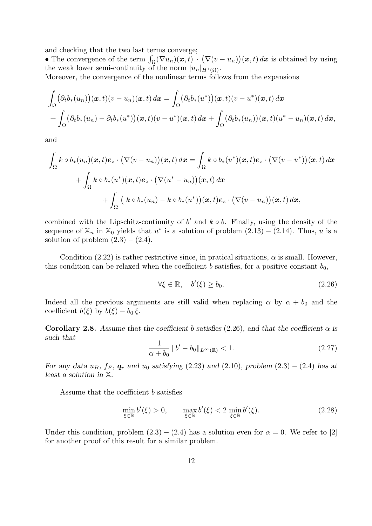and checking that the two last terms converge;

• The convergence of the term  $\int_{\Omega} (\nabla u_n)(x, t) \cdot (\nabla (v - u_n))(x, t) dx$  is obtained by using the weak lower semi-continuity of the norm  $|u_n|_{H^1(\Omega)}$ .

Moreover, the convergence of the nonlinear terms follows from the expansions

$$
\int_{\Omega} \left(\partial_t b_*(u_n)\right)(\mathbf{x},t)(v-u_n)(\mathbf{x},t) d\mathbf{x} = \int_{\Omega} \left(\partial_t b_*(u^*)\right)(\mathbf{x},t)(v-u^*)(\mathbf{x},t) d\mathbf{x} \n+ \int_{\Omega} \left(\partial_t b_*(u_n) - \partial_t b_*(u^*)\right)(\mathbf{x},t)(v-u^*)(\mathbf{x},t) d\mathbf{x} + \int_{\Omega} \left(\partial_t b_*(u_n)\right)(\mathbf{x},t)(u^*-u_n)(\mathbf{x},t) d\mathbf{x},
$$

and

$$
\int_{\Omega} k \circ b_{*}(u_{n})(\boldsymbol{x}, t) \boldsymbol{e}_{z} \cdot (\nabla (v - u_{n}))(\boldsymbol{x}, t) d\boldsymbol{x} = \int_{\Omega} k \circ b_{*}(u^{*})(\boldsymbol{x}, t) \boldsymbol{e}_{z} \cdot (\nabla (v - u^{*}))( \boldsymbol{x}, t) d\boldsymbol{x} \n+ \int_{\Omega} k \circ b_{*}(u^{*})(\boldsymbol{x}, t) \boldsymbol{e}_{z} \cdot (\nabla (u^{*} - u_{n}))( \boldsymbol{x}, t) d\boldsymbol{x} \n+ \int_{\Omega} (k \circ b_{*}(u_{n}) - k \circ b_{*}(u^{*}))( \boldsymbol{x}, t) \boldsymbol{e}_{z} \cdot (\nabla (v - u_{n}))( \boldsymbol{x}, t) d\boldsymbol{x},
$$

combined with the Lipschitz-continuity of  $b'$  and  $k \circ b$ . Finally, using the density of the sequence of  $\mathbb{X}_n$  in  $\mathbb{X}_0$  yields that  $u^*$  is a solution of problem  $(2.13) - (2.14)$ . Thus, u is a solution of problem  $(2.3) - (2.4)$ .

Condition (2.22) is rather restrictive since, in pratical situations,  $\alpha$  is small. However, this condition can be relaxed when the coefficient b satisfies, for a positive constant  $b_0$ ,

$$
\forall \xi \in \mathbb{R}, \quad b'(\xi) \ge b_0. \tag{2.26}
$$

Indeed all the previous arguments are still valid when replacing  $\alpha$  by  $\alpha + b_0$  and the coefficient  $b(\xi)$  by  $b(\xi) - b_0 \xi$ .

Corollary 2.8. Assume that the coefficient b satisfies (2.26), and that the coefficient  $\alpha$  is such that

$$
\frac{1}{\alpha + b_0} \left\| b' - b_0 \right\|_{L^\infty(\mathbb{R})} < 1. \tag{2.27}
$$

For any data  $u_B$ ,  $f_F$ ,  $g_r$  and  $u_0$  satisfying (2.23) and (2.10), problem (2.3) – (2.4) has at least a solution in X.

Assume that the coefficient b satisfies

$$
\min_{\xi \in \mathbb{R}} b'(\xi) > 0, \qquad \max_{\xi \in \mathbb{R}} b'(\xi) < 2 \min_{\xi \in \mathbb{R}} b'(\xi). \tag{2.28}
$$

Under this condition, problem  $(2.3) - (2.4)$  has a solution even for  $\alpha = 0$ . We refer to [2] for another proof of this result for a similar problem.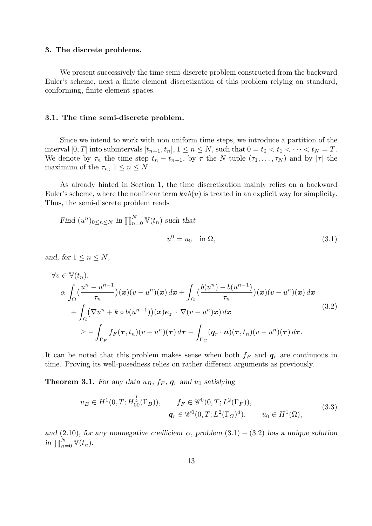## 3. The discrete problems.

We present successively the time semi-discrete problem constructed from the backward Euler's scheme, next a finite element discretization of this problem relying on standard, conforming, finite element spaces.

#### 3.1. The time semi-discrete problem.

Since we intend to work with non uniform time steps, we introduce a partition of the interval  $[0, T]$  into subintervals  $[t_{n-1}, t_n]$ ,  $1 \le n \le N$ , such that  $0 = t_0 < t_1 < \cdots < t_N = T$ . We denote by  $\tau_n$  the time step  $t_n - t_{n-1}$ , by  $\tau$  the N-tuple  $(\tau_1, \ldots, \tau_N)$  and by  $|\tau|$  the maximum of the  $\tau_n$ ,  $1 \leq n \leq N$ .

As already hinted in Section 1, the time discretization mainly relies on a backward Euler's scheme, where the nonlinear term  $k \circ b(u)$  is treated in an explicit way for simplicity. Thus, the semi-discrete problem reads

Find 
$$
(u^n)_{0 \le n \le N}
$$
 in  $\prod_{n=0}^{N} \mathbb{V}(t_n)$  such that  
\n
$$
u^0 = u_0 \quad \text{in } \Omega,
$$
\n(3.1)

and, for  $1 \leq n \leq N$ ,

$$
\forall v \in \mathbb{V}(t_n),
$$
  
\n
$$
\alpha \int_{\Omega} \left( \frac{u^n - u^{n-1}}{\tau_n} \right) (\boldsymbol{x}) (v - u^n) (\boldsymbol{x}) \, d\boldsymbol{x} + \int_{\Omega} \left( \frac{b(u^n) - b(u^{n-1})}{\tau_n} \right) (\boldsymbol{x}) (v - u^n) (\boldsymbol{x}) \, d\boldsymbol{x} + \int_{\Omega} \left( \nabla u^n + k \circ b(u^{n-1}) \right) (\boldsymbol{x}) \mathbf{e}_z \cdot \nabla (v - u^n) \boldsymbol{x} \right) d\boldsymbol{x} \geq - \int_{\Gamma_F} f_F(\boldsymbol{\tau}, t_n) (v - u^n) (\boldsymbol{\tau}) \, d\boldsymbol{\tau} - \int_{\Gamma_G} (\boldsymbol{q}_r \cdot \boldsymbol{n}) (\boldsymbol{\tau}, t_n) (v - u^n) (\boldsymbol{\tau}) \, d\boldsymbol{\tau}.
$$
\n(3.2)

It can be noted that this problem makes sense when both  $f_F$  and  $q_r$  are continuous in time. Proving its well-posedness relies on rather different arguments as previously.

**Theorem 3.1.** For any data  $u_B$ ,  $f_F$ ,  $g_r$  and  $u_0$  satisfying

$$
u_B \in H^1(0, T; H_{00}^{\frac{1}{2}}(\Gamma_B)), \qquad f_F \in \mathscr{C}^0(0, T; L^2(\Gamma_F)),
$$
  

$$
q_r \in \mathscr{C}^0(0, T; L^2(\Gamma_G)^d), \qquad u_0 \in H^1(\Omega),
$$
 (3.3)

and (2.10), for any nonnegative coefficient  $\alpha$ , problem (3.1) – (3.2) has a unique solution in  $\prod_{n=0}^{N} \mathbb{V}(t_n)$ .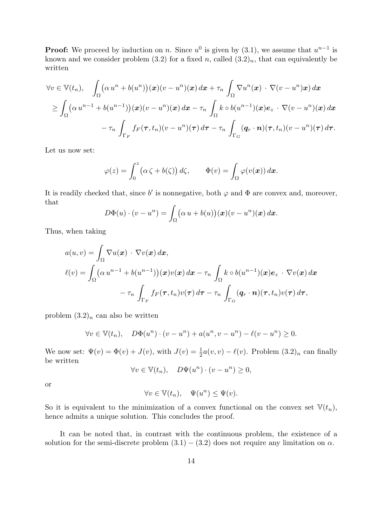**Proof:** We proceed by induction on n. Since  $u^0$  is given by  $(3.1)$ , we assume that  $u^{n-1}$  is known and we consider problem (3.2) for a fixed n, called  $(3.2)_n$ , that can equivalently be written

$$
\forall v \in \mathbb{V}(t_n), \quad \int_{\Omega} \left( \alpha u^n + b(u^n) \right) (\boldsymbol{x}) (v - u^n) (\boldsymbol{x}) \, d\boldsymbol{x} + \tau_n \int_{\Omega} \nabla u^n (\boldsymbol{x}) \cdot \nabla (v - u^n) \boldsymbol{x} ) \, d\boldsymbol{x}
$$
  
\n
$$
\geq \int_{\Omega} \left( \alpha u^{n-1} + b(u^{n-1}) \right) (\boldsymbol{x}) (v - u^n) (\boldsymbol{x}) \, d\boldsymbol{x} - \tau_n \int_{\Omega} k \circ b(u^{n-1}) (\boldsymbol{x}) \boldsymbol{e}_z \cdot \nabla (v - u^n) (\boldsymbol{x}) \, d\boldsymbol{x}
$$
  
\n
$$
- \tau_n \int_{\Gamma_F} f_F(\boldsymbol{\tau}, t_n) (v - u^n) (\boldsymbol{\tau}) \, d\boldsymbol{\tau} - \tau_n \int_{\Gamma_G} (\boldsymbol{q}_r \cdot \boldsymbol{n}) (\boldsymbol{\tau}, t_n) (v - u^n) (\boldsymbol{\tau}) \, d\boldsymbol{\tau}.
$$

Let us now set:

$$
\varphi(z) = \int_0^z \bigl(\alpha \zeta + b(\zeta)\bigr) d\zeta, \qquad \Phi(v) = \int_{\Omega} \varphi(v(\boldsymbol{x})) d\boldsymbol{x}.
$$

It is readily checked that, since b' is nonnegative, both  $\varphi$  and  $\Phi$  are convex and, moreover, that

$$
D\Phi(u)\cdot (v-u^n)=\int_{\Omega}(\alpha\,u+b(u))(x)(v-u^n)(x)\,dx.
$$

Thus, when taking

$$
a(u, v) = \int_{\Omega} \nabla u(\mathbf{x}) \cdot \nabla v(\mathbf{x}) d\mathbf{x},
$$
  

$$
\ell(v) = \int_{\Omega} (\alpha u^{n-1} + b(u^{n-1}))(\mathbf{x})v(\mathbf{x}) d\mathbf{x} - \tau_n \int_{\Omega} k \circ b(u^{n-1})(\mathbf{x})e_z \cdot \nabla v(\mathbf{x}) d\mathbf{x}
$$
  

$$
- \tau_n \int_{\Gamma_F} f_F(\tau, t_n)v(\tau) d\tau - \tau_n \int_{\Gamma_G} (\mathbf{q}_r \cdot \mathbf{n})(\tau, t_n)v(\tau) d\tau,
$$

problem  $(3.2)<sub>n</sub>$  can also be written

$$
\forall v \in \mathbb{V}(t_n), \quad D\Phi(u^n) \cdot (v - u^n) + a(u^n, v - u^n) - \ell(v - u^n) \ge 0.
$$

We now set:  $\Psi(v) = \Phi(v) + J(v)$ , with  $J(v) = \frac{1}{2}a(v, v) - \ell(v)$ . Problem  $(3.2)<sub>n</sub>$  can finally be written

$$
\forall v \in \mathbb{V}(t_n), \quad D\Psi(u^n) \cdot (v - u^n) \ge 0,
$$

or

$$
\forall v \in \mathbb{V}(t_n), \quad \Psi(u^n) \le \Psi(v).
$$

So it is equivalent to the minimization of a convex functional on the convex set  $\mathbb{V}(t_n)$ , hence admits a unique solution. This concludes the proof.

It can be noted that, in contrast with the continuous problem, the existence of a solution for the semi-discrete problem  $(3.1) - (3.2)$  does not require any limitation on  $\alpha$ .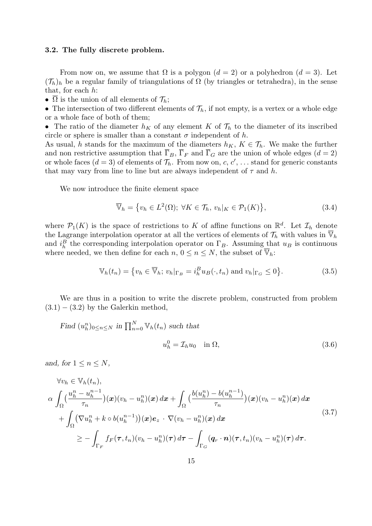#### 3.2. The fully discrete problem.

From now on, we assume that  $\Omega$  is a polygon  $(d = 2)$  or a polyhedron  $(d = 3)$ . Let  $({\mathcal{T}}_h)_h$  be a regular family of triangulations of  $\Omega$  (by triangles or tetrahedra), in the sense that, for each  $h$ :

•  $\overline{\Omega}$  is the union of all elements of  $\mathcal{T}_h$ ;

• The intersection of two different elements of  $\mathcal{T}_h$ , if not empty, is a vertex or a whole edge or a whole face of both of them;

• The ratio of the diameter  $h_K$  of any element K of  $\mathcal{T}_h$  to the diameter of its inscribed circle or sphere is smaller than a constant  $\sigma$  independent of h.

As usual, h stands for the maximum of the diameters  $h_K$ ,  $K \in \mathcal{T}_h$ . We make the further and non restrictive assumption that  $\overline{\Gamma}_B$ ,  $\overline{\Gamma}_F$  and  $\overline{\Gamma}_G$  are the union of whole edges  $(d = 2)$ or whole faces  $(d = 3)$  of elements of  $\mathcal{T}_h$ . From now on, c, c', ... stand for generic constants that may vary from line to line but are always independent of  $\tau$  and h.

We now introduce the finite element space

$$
\overline{\mathbb{V}}_h = \{ v_h \in L^2(\Omega) ; \ \forall K \in \mathcal{T}_h, \ v_h |_K \in \mathcal{P}_1(K) \},\tag{3.4}
$$

where  $\mathcal{P}_1(K)$  is the space of restrictions to K of affine functions on  $\mathbb{R}^d$ . Let  $\mathcal{I}_h$  denote the Lagrange interpolation operator at all the vertices of elements of  $\mathcal{T}_h$  with values in  $\overline{\mathbb{V}}_h$ and  $i_h^B$  the corresponding interpolation operator on  $\Gamma_B$ . Assuming that  $u_B$  is continuous where needed, we then define for each  $n, 0 \le n \le N$ , the subset of  $\mathbb{V}_h$ :

$$
\mathbb{V}_h(t_n) = \left\{ v_h \in \overline{\mathbb{V}}_h \, ; \, v_h|_{\Gamma_B} = i_h^B u_B(\cdot, t_n) \text{ and } v_h|_{\Gamma_G} \le 0 \right\}.
$$

We are thus in a position to write the discrete problem, constructed from problem  $(3.1) - (3.2)$  by the Galerkin method,

Find 
$$
(u_h^n)_{0 \le n \le N}
$$
 in  $\prod_{n=0}^N \mathbb{V}_h(t_n)$  such that
$$
u_h^0 = \mathcal{I}_h u_0 \quad \text{in } \Omega,
$$
 (3.6)

and, for  $1 \leq n \leq N$ ,

$$
\forall v_h \in \mathbb{V}_h(t_n),
$$
\n
$$
\alpha \int_{\Omega} \left( \frac{u_h^n - u_h^{n-1}}{\tau_n} \right) (\boldsymbol{x}) (v_h - u_h^n) (\boldsymbol{x}) d\boldsymbol{x} + \int_{\Omega} \left( \frac{b(u_h^n) - b(u_h^{n-1})}{\tau_n} \right) (\boldsymbol{x}) (v_h - u_h^n) (\boldsymbol{x}) d\boldsymbol{x} + \int_{\Omega} \left( \nabla u_h^n + k \circ b(u_h^{n-1}) \right) (\boldsymbol{x}) e_z \cdot \nabla (v_h - u_h^n) (\boldsymbol{x}) d\boldsymbol{x} \geq - \int_{\Gamma_F} f_F(\boldsymbol{\tau}, t_n) (v_h - u_h^n) (\boldsymbol{\tau}) d\boldsymbol{\tau} - \int_{\Gamma_G} (\boldsymbol{q}_r \cdot \boldsymbol{n}) (\boldsymbol{\tau}, t_n) (v_h - u_h^n) (\boldsymbol{\tau}) d\boldsymbol{\tau}.
$$
\n(3.7)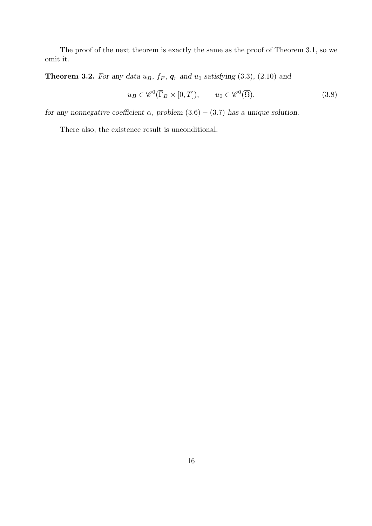The proof of the next theorem is exactly the same as the proof of Theorem 3.1, so we omit it.

**Theorem 3.2.** For any data  $u_B$ ,  $f_F$ ,  $g_r$  and  $u_0$  satisfying (3.3), (2.10) and

$$
u_B \in \mathscr{C}^0(\overline{\Gamma}_B \times [0,T]), \qquad u_0 \in \mathscr{C}^0(\overline{\Omega}), \tag{3.8}
$$

for any nonnegative coefficient  $\alpha$ , problem (3.6) – (3.7) has a unique solution.

There also, the existence result is unconditional.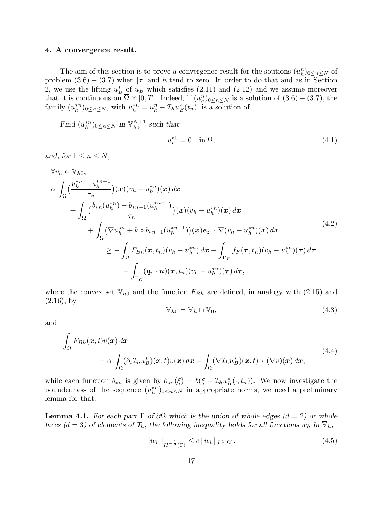#### 4. A convergence result.

The aim of this section is to prove a convergence result for the soutions  $(u_h^n)_{0 \le n \le N}$  of problem  $(3.6) - (3.7)$  when  $|\tau|$  and h tend to zero. In order to do that and as in Section 2, we use the lifting  $u_B^*$  of  $u_B$  which satisfies (2.11) and (2.12) and we assume moreover that it is continuous on  $\overline{\Omega} \times [0,T]$ . Indeed, if  $(u_h^n)_{0 \le n \le N}$  is a solution of  $(3.6) - (3.7)$ , the family  $(u_h^{*n})_{0 \le n \le N}$ , with  $u_h^{*n} = u_h^n - \mathcal{I}_h u_B^*(t_n)$ , is a solution of

Find  $(u_h^{*n})_{0 \le n \le N}$  in  $\mathbb{V}_{h0}^{N+1}$  $h_0^{N+1}$  such that  $u_h^{*0} = 0 \quad \text{in } \Omega,$  (4.1)

and, for  $1 \leq n \leq N$ ,

$$
\forall v_h \in \mathbb{V}_{h0},
$$
\n
$$
\alpha \int_{\Omega} \left( \frac{u_h^{*n} - u_h^{*n-1}}{\tau_n} \right) (\boldsymbol{x}) (v_h - u_h^{*n}) (\boldsymbol{x}) d\boldsymbol{x} + \int_{\Omega} \left( \frac{b_{*n} (u_h^{*n}) - b_{*n-1} (u_h^{*n-1})}{\tau_n} \right) (\boldsymbol{x}) (v_h - u_h^{*n}) (\boldsymbol{x}) d\boldsymbol{x} + \int_{\Omega} \left( \nabla u_h^{*n} + k \circ b_{*n-1} (u_h^{*n-1}) \right) (\boldsymbol{x}) e_z \cdot \nabla (v_h - u_h^{*n}) (\boldsymbol{x}) d\boldsymbol{x} \geq - \int_{\Omega} F_{Bh} (\boldsymbol{x}, t_n) (v_h - u_h^{*n}) d\boldsymbol{x} - \int_{\Gamma_F} f_F (\boldsymbol{\tau}, t_n) (v_h - u_h^{*n}) (\boldsymbol{\tau}) d\boldsymbol{\tau} - \int_{\Gamma_G} (\boldsymbol{q}_r \cdot \boldsymbol{n}) (\boldsymbol{\tau}, t_n) (v_h - u_h^{*n}) (\boldsymbol{\tau}) d\boldsymbol{\tau}, \tag{4.2}
$$

where the convex set  $V_{h0}$  and the function  $F_{Bh}$  are defined, in analogy with (2.15) and  $(2.16)$ , by

$$
\mathbb{V}_{h0} = \overline{\mathbb{V}}_h \cap \mathbb{V}_0,\tag{4.3}
$$

and

$$
\int_{\Omega} F_{Bh}(\boldsymbol{x},t) v(\boldsymbol{x}) d\boldsymbol{x} \n= \alpha \int_{\Omega} (\partial_t \mathcal{I}_h u_B^*)(\boldsymbol{x},t) v(\boldsymbol{x}) d\boldsymbol{x} + \int_{\Omega} (\nabla \mathcal{I}_h u_B^*)(\boldsymbol{x},t) \cdot (\nabla v)(\boldsymbol{x}) d\boldsymbol{x},
$$
\n(4.4)

while each function  $b_{*n}$  is given by  $b_{*n}(\xi) = b(\xi + \mathcal{I}_h u_B^*(\cdot, t_n))$ . We now investigate the boundedness of the sequence  $(u_h^{*n})_{0 \le n \le N}$  in appropriate norms, we need a preliminary lemma for that.

**Lemma 4.1.** For each part  $\Gamma$  of  $\partial\Omega$  which is the union of whole edges  $(d = 2)$  or whole faces  $(d = 3)$  of elements of  $\mathcal{T}_h$ , the following inequality holds for all functions  $w_h$  in  $\overline{\mathbb{V}}_h$ ,

$$
||w_h||_{H^{-\frac{1}{2}}(\Gamma)} \le c ||w_h||_{L^2(\Omega)}.
$$
\n(4.5)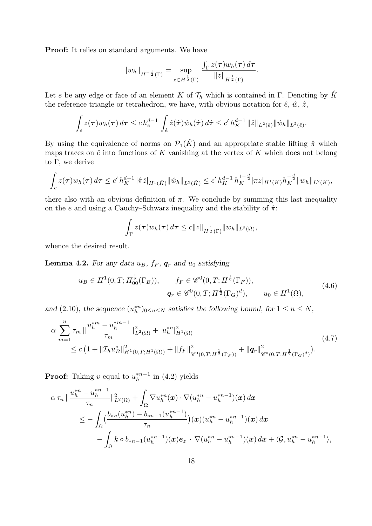Proof: It relies on standard arguments. We have

$$
||w_h||_{H^{-\frac{1}{2}}(\Gamma)} = \sup_{z \in H^{\frac{1}{2}}(\Gamma)} \frac{\int_{\Gamma} z(\tau) w_h(\tau) d\tau}{||z||_{H^{\frac{1}{2}}(\Gamma)}}.
$$

Let e be any edge or face of an element K of  $\mathcal{T}_h$  which is contained in Γ. Denoting by  $\hat{K}$ the reference triangle or tetrahedron, we have, with obvious notation for  $\hat{e}, \hat{w}, \hat{z},$ 

$$
\int_{e} z(\boldsymbol{\tau}) w_h(\boldsymbol{\tau}) d\boldsymbol{\tau} \leq c h_e^{d-1} \int_{\hat{e}} \hat{z}(\hat{\boldsymbol{\tau}}) \hat{w}_h(\hat{\boldsymbol{\tau}}) d\hat{\boldsymbol{\tau}} \leq c' h_K^{d-1} ||\hat{z}||_{L^2(\hat{e})} ||\hat{w}_h||_{L^2(\hat{e})}.
$$

By using the equivalence of norms on  $\mathcal{P}_1(\hat{K})$  and an appropriate stable lifting  $\hat{\pi}$  which maps traces on  $\hat{e}$  into functions of K vanishing at the vertex of K which does not belong to  $\overline{\Gamma}$ , we derive

$$
\int_{e} z(\tau) w_{h}(\tau) d\tau \leq c' h_{K}^{d-1} |\hat{\pi} \hat{z}|_{H^{1}(\hat{K})} ||\hat{w}_{h}||_{L^{2}(\hat{K})} \leq c' h_{K}^{d-1} h_{K}^{1-\frac{d}{2}} |\pi z|_{H^{1}(K)} h_{K}^{-\frac{d}{2}} ||w_{h}||_{L^{2}(K)},
$$

there also with an obvious definition of  $\pi$ . We conclude by summing this last inequality on the e and using a Cauchy–Schwarz inequality and the stability of  $\hat{\pi}$ :

$$
\int_{\Gamma} z(\boldsymbol{\tau}) w_h(\boldsymbol{\tau}) d\boldsymbol{\tau} \leq c \|z\|_{H^{\frac{1}{2}}(\Gamma)} \|w_h\|_{L^2(\Omega)},
$$

whence the desired result.

**Lemma 4.2.** For any data  $u_B$ ,  $f_F$ ,  $g_r$  and  $u_0$  satisfying

$$
u_B \in H^1(0, T; H_{00}^{\frac{1}{2}}(\Gamma_B)), \qquad f_F \in \mathscr{C}^0(0, T; H^{\frac{1}{2}}(\Gamma_F)),
$$
  

$$
q_r \in \mathscr{C}^0(0, T; H^{\frac{1}{2}}(\Gamma_G)^d), \qquad u_0 \in H^1(\Omega),
$$
 (4.6)

and (2.10), the sequence  $(u_h^{*n})_{0 \le n \le N}$  satisfies the following bound, for  $1 \le n \le N$ ,

$$
\alpha \sum_{m=1}^{n} \tau_m \|\frac{u_h^{*m} - u_h^{*m-1}}{\tau_m}\|_{L^2(\Omega)}^2 + |u_h^{*n}|_{H^1(\Omega)}^2 + \|u_h^{*n}\|_{H^1(\Omega)}^2
$$
\n
$$
\leq c \left(1 + \|\mathcal{I}_h u_B^*\|_{H^1(0,T;H^1(\Omega))}^2 + \|f_F\|_{\mathscr{C}^0(0,T;H^{\frac{1}{2}}(\Gamma_F))}^2 + \|q_r\|_{\mathscr{C}^0(0,T;H^{\frac{1}{2}}(\Gamma_G)^d)}^2\right).
$$
\n(4.7)

**Proof:** Taking v equal to  $u_h^{*n-1}$  $\binom{2}{h}$  in (4.2) yields

$$
\alpha \tau_n \|\frac{u_h^{*n} - u_h^{*n-1}}{\tau_n}\|_{L^2(\Omega)}^2 + \int_{\Omega} \nabla u_h^{*n}(\boldsymbol{x}) \cdot \nabla (u_h^{*n} - u_h^{*n-1})(\boldsymbol{x}) d\boldsymbol{x} \n\leq - \int_{\Omega} \Big(\frac{b_{*n}(u_h^{*n}) - b_{*n-1}(u_h^{*n-1})}{\tau_n}\Big) (\boldsymbol{x}) (u_h^{*n} - u_h^{*n-1})(\boldsymbol{x}) d\boldsymbol{x} \n- \int_{\Omega} k \circ b_{*n-1}(u_h^{*n-1})(\boldsymbol{x}) e_z \cdot \nabla (u_h^{*n} - u_h^{*n-1})(\boldsymbol{x}) d\boldsymbol{x} + \langle \mathcal{G}, u_h^{*n} - u_h^{*n-1} \rangle,
$$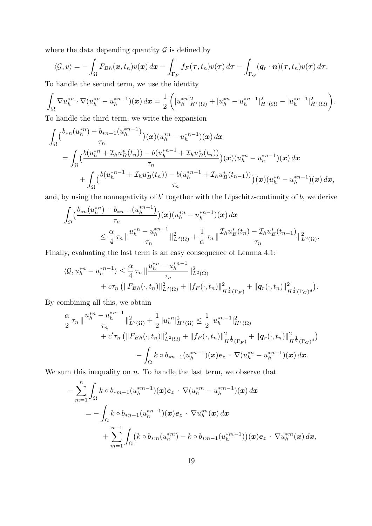where the data depending quantity  $\mathcal G$  is defined by

$$
\langle \mathcal{G}, v \rangle = -\int_{\Omega} F_{Bh}(\boldsymbol{x}, t_n) v(\boldsymbol{x}) d\boldsymbol{x} - \int_{\Gamma_F} f_F(\boldsymbol{\tau}, t_n) v(\boldsymbol{\tau}) d\boldsymbol{\tau} - \int_{\Gamma_G} (\boldsymbol{q}_r \cdot \boldsymbol{n}) (\boldsymbol{\tau}, t_n) v(\boldsymbol{\tau}) d\boldsymbol{\tau}.
$$

To handle the second term, we use the identity

$$
\int_{\Omega} \nabla u_h^{*n} \cdot \nabla (u_h^{*n} - u_h^{*n-1})(\boldsymbol{x}) d\boldsymbol{x} = \frac{1}{2} \left( |u_h^{*n}|_{H^1(\Omega)}^2 + |u_h^{*n} - u_h^{*n-1}|_{H^1(\Omega)}^2 - |u_h^{*n-1}|_{H^1(\Omega)}^2 \right).
$$

To handle the third term, we write the expansion

$$
\int_{\Omega} \left( \frac{b_{\ast n}(u_h^{*n}) - b_{\ast n-1}(u_h^{*n-1})}{\tau_n} \right) (x) (u_h^{*n} - u_h^{*n-1}) (x) dx \n= \int_{\Omega} \left( \frac{b(u_h^{*n} + \mathcal{I}_h u_B^*(t_n)) - b(u_h^{*n-1} + \mathcal{I}_h u_B^*(t_n))}{\tau_n} \right) (x) (u_h^{*n} - u_h^{*n-1}) (x) dx \n+ \int_{\Omega} \left( \frac{b(u_h^{*n-1} + \mathcal{I}_h u_B^*(t_n)) - b(u_h^{*n-1} + \mathcal{I}_h u_B^*(t_{n-1}))}{\tau_n} \right) (x) (u_h^{*n} - u_h^{*n-1}) (x) dx,
$$

and, by using the nonnegativity of  $b'$  together with the Lipschitz-continuity of  $b$ , we derive

$$
\int_{\Omega} \left( \frac{b_{\ast n}(u_h^{\ast n}) - b_{\ast n-1}(u_h^{\ast n-1})}{\tau_n} \right) (\boldsymbol{x}) (u_h^{\ast n} - u_h^{\ast n-1}) (\boldsymbol{x}) d\boldsymbol{x} \n\leq \frac{\alpha}{4} \tau_n \, \| \frac{u_h^{\ast n} - u_h^{\ast n-1}}{\tau_n} \|_{L^2(\Omega)}^2 + \frac{1}{\alpha} \tau_n \, \| \frac{\mathcal{I}_h u_B^{\ast}(t_n) - \mathcal{I}_h u_B^{\ast}(t_{n-1})}{\tau_n} \|_{L^2(\Omega)}^2.
$$

Finally, evaluating the last term is an easy consequence of Lemma 4.1:

$$
\langle \mathcal{G}, u_h^{*n} - u_h^{*n-1} \rangle \leq \frac{\alpha}{4} \tau_n \| \frac{u_h^{*n} - u_h^{*n-1}}{\tau_n} \|_{L^2(\Omega)}^2 + c \tau_n \left( \| F_{Bh}(\cdot, t_n) \|_{L^2(\Omega)}^2 + \| f_F(\cdot, t_n) \|_{H^{\frac{1}{2}}(\Gamma_F)}^2 + \| q_r(\cdot, t_n) \|_{H^{\frac{1}{2}}(\Gamma_G)^d}^2 \right).
$$

By combining all this, we obtain

$$
\frac{\alpha}{2} \tau_n \|\frac{u_h^{*n} - u_h^{*n-1}}{\tau_n}\|_{L^2(\Omega)}^2 + \frac{1}{2} |u_h^{*n}|_{H^1(\Omega)}^2 \le \frac{1}{2} |u_h^{*n-1}|_{H^1(\Omega)}^2 \n+ c' \tau_n \left(\|F_{Bh}(\cdot, t_n)\|_{L^2(\Omega)}^2 + \|f_F(\cdot, t_n)\|_{H^{\frac{1}{2}}(\Gamma_F)}^2 + \|q_F(\cdot, t_n)\|_{H^{\frac{1}{2}}(\Gamma_G)^d}^2\right) \n- \int_{\Omega} k \circ b_{*n-1}(u_h^{*n-1})(x) e_z \cdot \nabla(u_h^{*n} - u_h^{*n-1})(x) dx.
$$

We sum this inequality on  $n$ . To handle the last term, we observe that

$$
- \sum_{m=1}^{n} \int_{\Omega} k \circ b_{*m-1}(u_h^{*m-1})(x) e_z \cdot \nabla (u_h^{*m} - u_h^{*m-1})(x) dx
$$
  
=  $-\int_{\Omega} k \circ b_{*n-1}(u_h^{*n-1})(x) e_z \cdot \nabla u_h^{*n}(x) dx$   
+  $\sum_{m=1}^{n-1} \int_{\Omega} (k \circ b_{*m}(u_h^{*m}) - k \circ b_{*m-1}(u_h^{*m-1}))(x) e_z \cdot \nabla u_h^{*m}(x) dx,$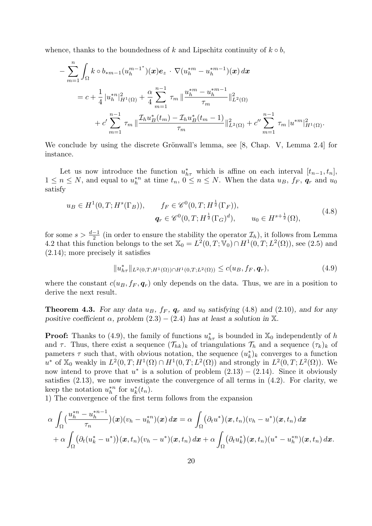whence, thanks to the boundedness of k and Lipschitz continuity of  $k \circ b$ ,

$$
- \sum_{m=1}^{n} \int_{\Omega} k \circ b_{*m-1}(u_{h}^{m-1^{*}})(x) e_{z} \cdot \nabla (u_{h}^{*m} - u_{h}^{*m-1})(x) dx
$$
  

$$
= c + \frac{1}{4} |u_{h}^{*n}|_{H^{1}(\Omega)}^{2} + \frac{\alpha}{4} \sum_{m=1}^{n-1} \tau_{m} || \frac{u_{h}^{*m} - u_{h}^{*m-1}}{\tau_{m}} ||_{L^{2}(\Omega)}^{2}
$$
  

$$
+ c' \sum_{m=1}^{n-1} \tau_{m} || \frac{\mathcal{I}_{h} u_{B}^{*}(t_{m}) - \mathcal{I}_{h} u_{B}^{*}(t_{m}-1)}{\tau_{m}} ||_{L^{2}(\Omega)}^{2} + c'' \sum_{m=1}^{n-1} \tau_{m} |u^{*m}|_{H^{1}(\Omega)}^{2}.
$$

We conclude by using the discrete Grönwall's lemma, see  $[8,$  Chap. V, Lemma 2.4 for instance.

Let us now introduce the function  $u_{h\tau}^*$  which is affine on each interval  $[t_{n-1}, t_n]$ ,  $1 \leq n \leq N$ , and equal to  $u_h^{*n}$  at time  $t_n$ ,  $0 \leq n \leq N$ . When the data  $u_B$ ,  $f_F$ ,  $q_r$  and  $u_0$ satisfy

$$
u_B \in H^1(0, T; H^s(\Gamma_B)), \qquad f_F \in \mathscr{C}^0(0, T; H^{\frac{1}{2}}(\Gamma_F)),
$$
  

$$
q_r \in \mathscr{C}^0(0, T; H^{\frac{1}{2}}(\Gamma_G)^d), \qquad u_0 \in H^{s + \frac{1}{2}}(\Omega),
$$
 (4.8)

for some  $s > \frac{d-1}{2}$  (in order to ensure the stability the operator  $\mathcal{I}_h$ ), it follows from Lemma 4.2 that this function belongs to the set  $\mathbb{X}_0 = L^2(0,T;\mathbb{V}_0) \cap H^1(0,T;L^2(\Omega))$ , see (2.5) and (2.14); more precisely it satisfies

$$
||u_{h\tau}^*||_{L^2(0,T;H^1(\Omega)) \cap H^1(0,T;L^2(\Omega))} \le c(u_B, f_F, \mathbf{q}_r),
$$
\n(4.9)

where the constant  $c(u_B, f_F, \mathbf{q}_r)$  only depends on the data. Thus, we are in a position to derive the next result.

**Theorem 4.3.** For any data  $u_B$ ,  $f_F$ ,  $g_r$  and  $u_0$  satisfying (4.8) and (2.10), and for any positive coefficient  $\alpha$ , problem  $(2.3) - (2.4)$  has at least a solution in X.

**Proof:** Thanks to (4.9), the family of functions  $u_{h\tau}^*$  is bounded in  $\mathbb{X}_0$  independently of h and  $\tau$ . Thus, there exist a sequence  $(\mathcal{T}_{hk})_k$  of triangulations  $\mathcal{T}_h$  and a sequence  $(\tau_k)_k$  of pameters  $\tau$  such that, with obvious notation, the sequence  $(u_k^*)_k$  converges to a function u<sup>\*</sup> of  $\mathbb{X}_0$  weakly in  $L^2(0,T;H^1(\Omega) \cap H^1(0,T;L^2(\Omega))$  and strongly in  $L^2(0,T;L^2(\Omega))$ . We now intend to prove that  $u^*$  is a solution of problem  $(2.13) - (2.14)$ . Since it obviously satisfies (2.13), we now investigate the convergence of all terms in (4.2). For clarity, we keep the notation  $u_h^{*n}$  for  $u_k^{*}(t_n)$ .

1) The convergence of the first term follows from the expansion

$$
\alpha \int_{\Omega} \left( \frac{u_h^{*n} - u_h^{*n-1}}{\tau_n} \right) (\boldsymbol{x}) (v_h - u_h^{*n}) (\boldsymbol{x}) d\boldsymbol{x} = \alpha \int_{\Omega} (\partial_t u^*) (\boldsymbol{x}, t_n) (v_h - u^*) (\boldsymbol{x}, t_n) d\boldsymbol{x} + \alpha \int_{\Omega} (\partial_t (u_k^* - u^*)) (\boldsymbol{x}, t_n) (v_h - u^*) (\boldsymbol{x}, t_n) d\boldsymbol{x} + \alpha \int_{\Omega} (\partial_t u_k^*) (\boldsymbol{x}, t_n) (u^* - u_h^{*n}) (\boldsymbol{x}, t_n) d\boldsymbol{x}.
$$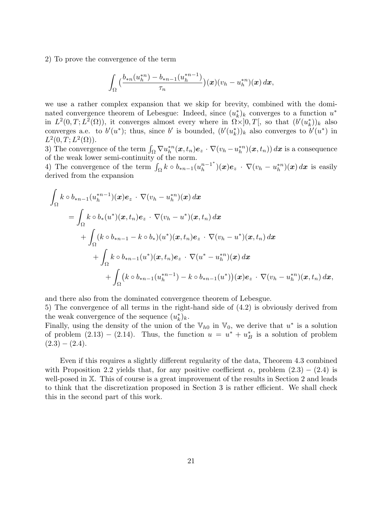2) To prove the convergence of the term

$$
\int_{\Omega} \big(\frac{b_{*n}(u_h^{*n})-b_{*n-1}(u_h^{*n-1})}{\tau_n}\big)(\bm{x})(v_h-u_h^{*n})(\bm{x})\,d\bm{x},
$$

we use a rather complex expansion that we skip for brevity, combined with the dominated convergence theorem of Lebesgue: Indeed, since  $(u_k^*)_k$  converges to a function  $u^*$ in  $L^2(0,T;L^2(\Omega))$ , it converges almost every where in  $\Omega \times ]0,T[$ , so that  $(b'(u_k^*))_k$  also converges a.e. to  $b'(u^*)$ ; thus, since b' is bounded,  $(b'(u_k^*))_k$  also converges to  $b'(u^*)$  in  $L^2(0,T;L^2(\Omega)).$ 

3) The convergence of the term  $\int_{\Omega} \nabla u_h^{*n}(\bm{x}, t_n) \bm{e}_z \cdot \nabla (v_h - u_h^{*n})(\bm{x}, t_n)) d\bm{x}$  is a consequence of the weak lower semi-continuity of the norm.

4) The convergence of the term  $\int_{\Omega} k \circ b_{n-1}(u_h^{n-1})$  $\binom{n-1^*}{h}(\boldsymbol{x})\boldsymbol{e}_z \,\cdot\, \nabla (v_h - u_h^{*n})(\boldsymbol{x})\, d\boldsymbol{x}$  is easily derived from the expansion

$$
\int_{\Omega} k \circ b_{*n-1}(u_{h}^{*n-1})(x)e_{z} \cdot \nabla(v_{h}-u_{h}^{*n})(x) dx \n= \int_{\Omega} k \circ b_{*}(u^{*})(x,t_{n})e_{z} \cdot \nabla(v_{h}-u^{*})(x,t_{n}) dx \n+ \int_{\Omega} (k \circ b_{*n-1}-k \circ b_{*})(u^{*})(x,t_{n})e_{z} \cdot \nabla(v_{h}-u^{*})(x,t_{n}) dx \n+ \int_{\Omega} k \circ b_{*n-1}(u^{*})(x,t_{n})e_{z} \cdot \nabla(u^{*}-u_{h}^{*n})(x) dx \n+ \int_{\Omega} (k \circ b_{*n-1}(u_{h}^{*n-1})-k \circ b_{*n-1}(u^{*}))(x)e_{z} \cdot \nabla(v_{h}-u_{h}^{*n})(x,t_{n}) dx,
$$

and there also from the dominated convergence theorem of Lebesgue. 5) The convergence of all terms in the right-hand side of (4.2) is obviously derived from the weak convergence of the sequence  $(u_k^*)_k$ .

Finally, using the density of the union of the  $\mathbb{V}_{h0}$  in  $\mathbb{V}_0$ , we derive that  $u^*$  is a solution of problem  $(2.13) - (2.14)$ . Thus, the function  $u = u^* + u^*$  is a solution of problem  $(2.3) - (2.4).$ 

Even if this requires a slightly different regularity of the data, Theorem 4.3 combined with Proposition 2.2 yields that, for any positive coefficient  $\alpha$ , problem  $(2.3) - (2.4)$  is well-posed in X. This of course is a great improvement of the results in Section 2 and leads to think that the discretization proposed in Section 3 is rather efficient. We shall check this in the second part of this work.